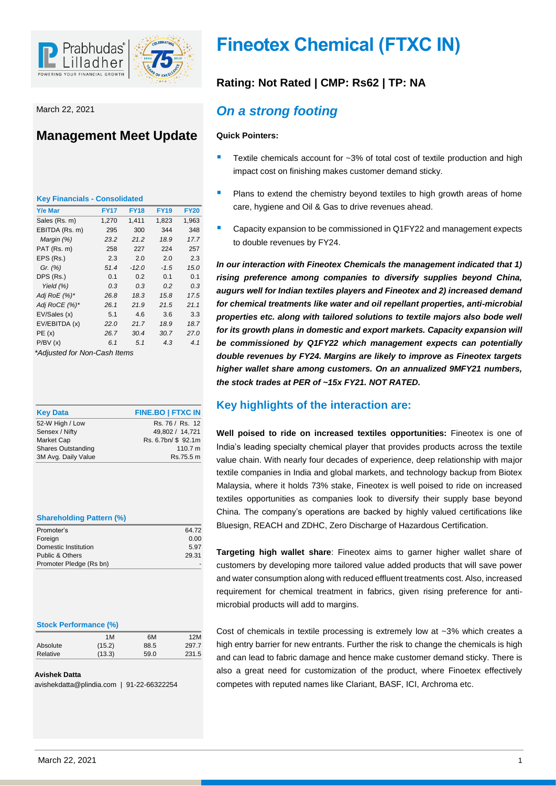

March 22, 2021

# **Management Meet Update**

| <b>Key Financials - Consolidated</b> |             |             |             |             |
|--------------------------------------|-------------|-------------|-------------|-------------|
| <b>Y/e Mar</b>                       | <b>FY17</b> | <b>FY18</b> | <b>FY19</b> | <b>FY20</b> |
| Sales (Rs. m)                        | 1,270       | 1,411       | 1,823       | 1,963       |
| EBITDA (Rs. m)                       | 295         | 300         | 344         | 348         |
| Margin (%)                           | 23.2        | 21.2        | 18.9        | 17.7        |
| PAT (Rs. m)                          | 258         | 227         | 224         | 257         |
| EPS (Rs.)                            | 2.3         | 2.0         | 2.0         | 2.3         |
| Gr. $(%)$                            | 51.4        | $-12.0$     | $-1.5$      | 15.C        |
| DPS (Rs.)                            | 0.1         | 0.2         | 0.1         | 0.1         |
| Yield $(%)$                          | 0.3         | 0.3         | 0.2         | 0.3         |
| Adj RoE (%)*                         | 26.8        | 18.3        | 15.8        | 17.5        |
| Adj RoCE (%)*                        | 26.1        | 21.9        | 21.5        | 21.1        |
| EV/Sales (x)                         | 5.1         | 4.6         | 3.6         | 3.3         |
| EV/EBITDA (x)                        | 22.0        | 21.7        | 18.9        | 18.7        |
| PE(x)                                | 26.7        | 30.4        | 30.7        | 27.C        |
| P/BV(x)<br>$\cdot$ $\cdot$           | 6.1         | 5.1         | 4.3         | 4.1         |

*\*Adjusted for Non-Cash Items*

| <b>Key Data</b>           | <b>FINE.BO   FTXC IN</b> |
|---------------------------|--------------------------|
| 52-W High / Low           | Rs. 76 / Rs. 12          |
| Sensex / Nifty            | 49,802 / 14,721          |
| Market Cap                | Rs. 6.7bn/ \$92.1m       |
| <b>Shares Outstanding</b> | 110.7 m                  |
| 3M Avg. Daily Value       | Rs.75.5 m                |

### **Shareholding Pattern (%)**

| 64.72 |
|-------|
| 0.00  |
| 5.97  |
| 29.31 |
|       |
|       |

### **Stock Performance (%)**

|          | 1M     | 6M   | 12M   |
|----------|--------|------|-------|
| Absolute | (15.2) | 88.5 | 297.7 |
| Relative | (13.3) | 59.0 | 231.5 |

### **Avishek Datta**

avishekdatta@plindia.com | 91-22-66322254

# **Fineotex Chemical (FTXC IN)**

# **Rating: Not Rated | CMP: Rs62 | TP: NA**

# *On a strong footing*

### **Quick Pointers:**

- Textile chemicals account for ~3% of total cost of textile production and high impact cost on finishing makes customer demand sticky.
- **Plans to extend the chemistry beyond textiles to high growth areas of home** care, hygiene and Oil & Gas to drive revenues ahead.
- **Capacity expansion to be commissioned in Q1FY22 and management expects** to double revenues by FY24.

*In our interaction with Fineotex Chemicals the management indicated that 1) rising preference among companies to diversify supplies beyond China, augurs well for Indian textiles players and Fineotex and 2) increased demand for chemical treatments like water and oil repellant properties, anti-microbial properties etc. along with tailored solutions to textile majors also bode well for its growth plans in domestic and export markets. Capacity expansion will be commissioned by Q1FY22 which management expects can potentially double revenues by FY24. Margins are likely to improve as Fineotex targets higher wallet share among customers. On an annualized 9MFY21 numbers, the stock trades at PER of ~15x FY21. NOT RATED.*

### **Key highlights of the interaction are:**

**Well poised to ride on increased textiles opportunities:** Fineotex is one of India's leading specialty chemical player that provides products across the textile value chain. With nearly four decades of experience, deep relationship with major textile companies in India and global markets, and technology backup from Biotex Malaysia, where it holds 73% stake, Fineotex is well poised to ride on increased textiles opportunities as companies look to diversify their supply base beyond China. The company's operations are backed by highly valued certifications like Bluesign, REACH and ZDHC, Zero Discharge of Hazardous Certification.

**Targeting high wallet share**: Fineotex aims to garner higher wallet share of customers by developing more tailored value added products that will save power and water consumption along with reduced effluent treatments cost. Also, increased requirement for chemical treatment in fabrics, given rising preference for antimicrobial products will add to margins.

Cost of chemicals in textile processing is extremely low at ~3% which creates a high entry barrier for new entrants. Further the risk to change the chemicals is high and can lead to fabric damage and hence make customer demand sticky. There is also a great need for customization of the product, where Finoetex effectively competes with reputed names like Clariant, BASF, ICI, Archroma etc.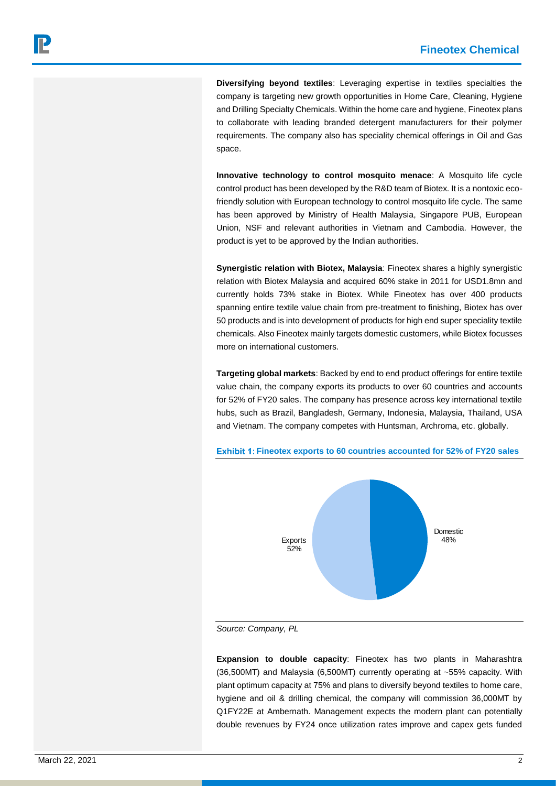**Diversifying beyond textiles**: Leveraging expertise in textiles specialties the company is targeting new growth opportunities in Home Care, Cleaning, Hygiene and Drilling Specialty Chemicals. Within the home care and hygiene, Fineotex plans to collaborate with leading branded detergent manufacturers for their polymer requirements. The company also has speciality chemical offerings in Oil and Gas space.

**Innovative technology to control mosquito menace**: A Mosquito life cycle control product has been developed by the R&D team of Biotex. It is a nontoxic ecofriendly solution with European technology to control mosquito life cycle. The same has been approved by Ministry of Health Malaysia, Singapore PUB, European Union, NSF and relevant authorities in Vietnam and Cambodia. However, the product is yet to be approved by the Indian authorities.

**Synergistic relation with Biotex, Malaysia**: Fineotex shares a highly synergistic relation with Biotex Malaysia and acquired 60% stake in 2011 for USD1.8mn and currently holds 73% stake in Biotex. While Fineotex has over 400 products spanning entire textile value chain from pre-treatment to finishing, Biotex has over 50 products and is into development of products for high end super speciality textile chemicals. Also Fineotex mainly targets domestic customers, while Biotex focusses more on international customers.

**Targeting global markets**: Backed by end to end product offerings for entire textile value chain, the company exports its products to over 60 countries and accounts for 52% of FY20 sales. The company has presence across key international textile hubs, such as Brazil, Bangladesh, Germany, Indonesia, Malaysia, Thailand, USA and Vietnam. The company competes with Huntsman, Archroma, etc. globally.



**Fineotex exports to 60 countries accounted for 52% of FY20 sales**

*Source: Company, PL*

**Expansion to double capacity**: Fineotex has two plants in Maharashtra (36,500MT) and Malaysia (6,500MT) currently operating at ~55% capacity. With plant optimum capacity at 75% and plans to diversify beyond textiles to home care, hygiene and oil & drilling chemical, the company will commission 36,000MT by Q1FY22E at Ambernath. Management expects the modern plant can potentially double revenues by FY24 once utilization rates improve and capex gets funded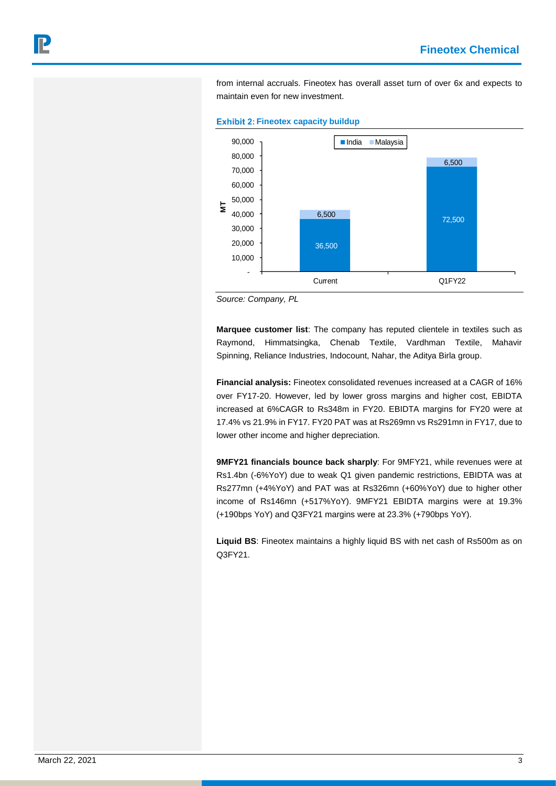6,500

from internal accruals. Fineotex has overall asset turn of over 6x and expects to maintain even for new investment.



36,500

**Exhibit 2: Fineotex capacity buildup** 

*Source: Company, PL*

 - 10,000 20,000 30,000 40,000 50,000 60,000

**M T**

**Marquee customer list**: The company has reputed clientele in textiles such as Raymond, Himmatsingka, Chenab Textile, Vardhman Textile, Mahavir Spinning, Reliance Industries, Indocount, Nahar, the Aditya Birla group.

72,500 6,500

Current Q1FY22

**Financial analysis:** Fineotex consolidated revenues increased at a CAGR of 16% over FY17-20. However, led by lower gross margins and higher cost, EBIDTA increased at 6%CAGR to Rs348m in FY20. EBIDTA margins for FY20 were at 17.4% vs 21.9% in FY17. FY20 PAT was at Rs269mn vs Rs291mn in FY17, due to lower other income and higher depreciation.

**9MFY21 financials bounce back sharply**: For 9MFY21, while revenues were at Rs1.4bn (-6%YoY) due to weak Q1 given pandemic restrictions, EBIDTA was at Rs277mn (+4%YoY) and PAT was at Rs326mn (+60%YoY) due to higher other income of Rs146mn (+517%YoY). 9MFY21 EBIDTA margins were at 19.3% (+190bps YoY) and Q3FY21 margins were at 23.3% (+790bps YoY).

**Liquid BS**: Fineotex maintains a highly liquid BS with net cash of Rs500m as on Q3FY21.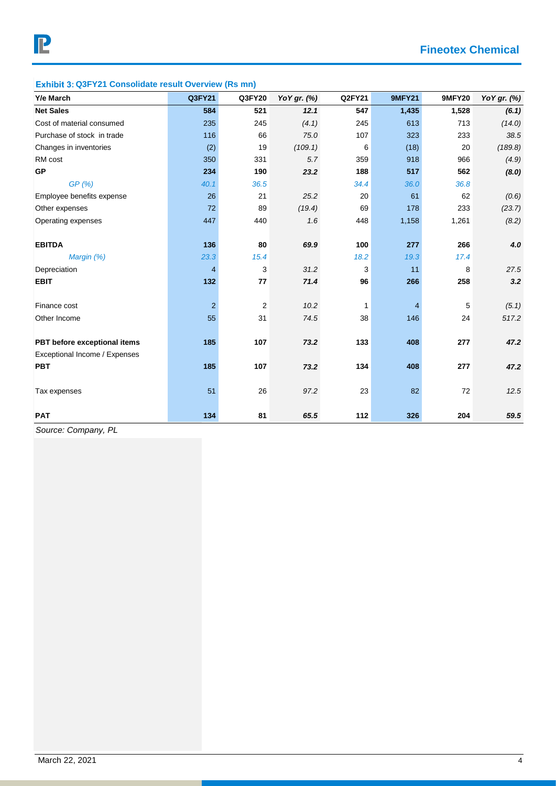## **Exhibit 3: Q3FY21 Consolidate result Overview (Rs mn)**

| Y/e March                     | Q3FY21         | Q3FY20 | YoY gr. (%) | Q2FY21 | <b>9MFY21</b> | <b>9MFY20</b> | YoY gr. (%) |
|-------------------------------|----------------|--------|-------------|--------|---------------|---------------|-------------|
| <b>Net Sales</b>              | 584            | 521    | 12.1        | 547    | 1,435         | 1,528         | (6.1)       |
| Cost of material consumed     | 235            | 245    | (4.1)       | 245    | 613           | 713           | (14.0)      |
| Purchase of stock in trade    | 116            | 66     | 75.0        | 107    | 323           | 233           | 38.5        |
| Changes in inventories        | (2)            | 19     | (109.1)     | 6      | (18)          | 20            | (189.8)     |
| RM cost                       | 350            | 331    | 5.7         | 359    | 918           | 966           | (4.9)       |
| <b>GP</b>                     | 234            | 190    | 23.2        | 188    | 517           | 562           | (8.0)       |
| GP(%)                         | 40.1           | 36.5   |             | 34.4   | 36.0          | 36.8          |             |
| Employee benefits expense     | 26             | 21     | 25.2        | 20     | 61            | 62            | (0.6)       |
| Other expenses                | 72             | 89     | (19.4)      | 69     | 178           | 233           | (23.7)      |
| Operating expenses            | 447            | 440    | 1.6         | 448    | 1,158         | 1,261         | (8.2)       |
|                               |                |        |             |        |               |               |             |
| <b>EBITDA</b>                 | 136            | 80     | 69.9        | 100    | 277           | 266           | 4.0         |
| Margin (%)                    | 23.3           | 15.4   |             | 18.2   | 19.3          | 17.4          |             |
| Depreciation                  | $\overline{4}$ | 3      | 31.2        | 3      | 11            | 8             | 27.5        |
| <b>EBIT</b>                   | 132            | 77     | 71.4        | 96     | 266           | 258           | 3.2         |
|                               |                |        |             |        |               |               |             |
| Finance cost                  | $\overline{2}$ | 2      | 10.2        | 1      | 4             | 5             | (5.1)       |
| Other Income                  | 55             | 31     | 74.5        | 38     | 146           | 24            | 517.2       |
|                               |                |        |             |        |               |               |             |
| PBT before exceptional items  | 185            | 107    | 73.2        | 133    | 408           | 277           | 47.2        |
| Exceptional Income / Expenses |                |        |             |        |               |               |             |
| <b>PBT</b>                    | 185            | 107    | 73.2        | 134    | 408           | 277           | 47.2        |
|                               |                |        |             |        |               |               |             |
| Tax expenses                  | 51             | 26     | 97.2        | 23     | 82            | 72            | 12.5        |
|                               |                |        |             |        |               |               |             |
| <b>PAT</b>                    | 134            | 81     | 65.5        | 112    | 326           | 204           | 59.5        |

*Source: Company, PL*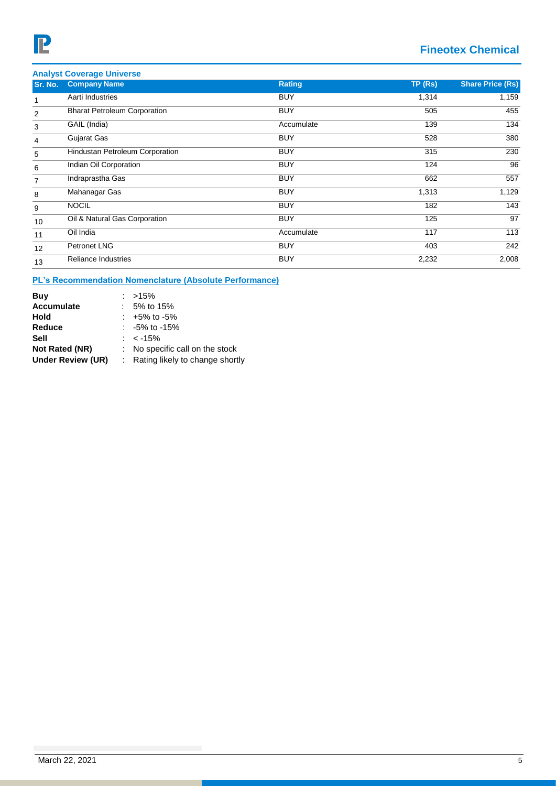# **Fineotex Chemical**

|         | <b>Analyst Coverage Universe</b>    |            |        |                         |
|---------|-------------------------------------|------------|--------|-------------------------|
| Sr. No. | <b>Company Name</b>                 | Rating     | TP(Rs) | <b>Share Price (Rs)</b> |
|         | Aarti Industries                    | <b>BUY</b> | 1,314  | 1,159                   |
| 2       | <b>Bharat Petroleum Corporation</b> | <b>BUY</b> | 505    | 455                     |
| 3       | GAIL (India)                        | Accumulate | 139    | 134                     |
| 4       | Gujarat Gas                         | <b>BUY</b> | 528    | 380                     |
| 5       | Hindustan Petroleum Corporation     | <b>BUY</b> | 315    | 230                     |
| 6       | Indian Oil Corporation              | <b>BUY</b> | 124    | 96                      |
| 7       | Indraprastha Gas                    | <b>BUY</b> | 662    | 557                     |
| 8       | Mahanagar Gas                       | <b>BUY</b> | 1,313  | 1,129                   |
| 9       | <b>NOCIL</b>                        | <b>BUY</b> | 182    | 143                     |
| 10      | Oil & Natural Gas Corporation       | <b>BUY</b> | 125    | 97                      |
| 11      | Oil India                           | Accumulate | 117    | 113                     |
| 12      | Petronet LNG                        | <b>BUY</b> | 403    | 242                     |
| 13      | <b>Reliance Industries</b>          | <b>BUY</b> | 2,232  | 2,008                   |

### **PL's Recommendation Nomenclature (Absolute Performance)**

| Buy                      | $: >15\%$                         |
|--------------------------|-----------------------------------|
| <b>Accumulate</b>        | 5% to 15%                         |
| Hold                     | $: +5\%$ to $-5\%$                |
| Reduce                   | $: -5\%$ to -15%                  |
| Sell                     | : $<$ -15%                        |
| Not Rated (NR)           | : No specific call on the stock   |
| <b>Under Review (UR)</b> | : Rating likely to change shortly |
|                          |                                   |